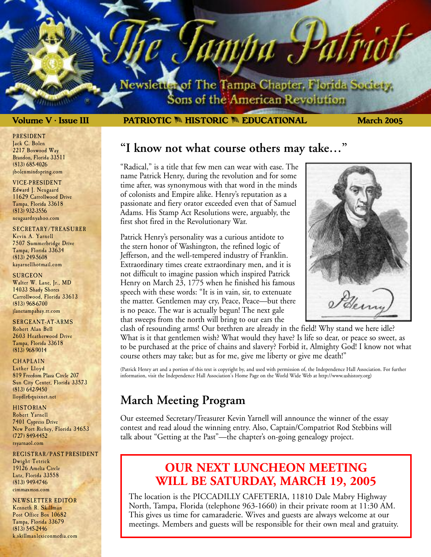lewsletter of The Tampa Chapter, Florida Society. Sons of the American Revolution

ampa P

## **Volume V • Issue III March 2005 PATRIOTIC** M **HISTORIC** M **EDUCATIONAL**

### PRESIDENT Jack C. Bolen 2217 Boxwood Way Brandon, Florida 33511 (813) 685-4026 jbolenmindspring.com

### VICE-PRESIDENT

Edward J. Neugaard 11629 Carrollwood Drive Tampa, Florida 33618 (813) 932-3556 neugaardnyahoo.com

## SECRETARY/TREASURER

Kevin A. Yarnell 7507 Summerbridge Drive Tampa, Florida 33634 (813) 249-5608 kayarnellhotmail.com

## **SURGEON**

Walter W. Lane, Jr., MD 14033 Shady Shores Carrollwood, Florida 33613 (813) 968-6700 jlanetampabay.rr.com

## SERGEANT-AT-ARMS

Robert Alan Bell 2603 Heatherwood Drive Tampa, Florida 33618 (813) 968-9014

## **CHAPLAIN**

Luther Lloyd 819 Freedom Plaza Circle 207 Sun City Center, Florida 33573 (813) 642-9450 lloydlr6 quixnet.net

### HISTORIAN

Robert Yarnell 7401 Cypress Drive New Port Richey, Florida 34653 (727) 849-4452 rsyarnaol.com

## REGISTRAR/PAST PRESIDENT Dwight Tetrick 19126 Amelia Circle Lutz, Florida 33558 (813) 949-4746 cimmaxmsn.com

NEWSLETTER EDITOR Kenneth R. Skillman Post Office Box 10682 Tampa, Florida 33679 (813) 545-2446 k.skillmanlexiconmedia.com

## **"I know not what course others may take…"**

"Radical," is a title that few men can wear with ease. The name Patrick Henry, during the revolution and for some time after, was synonymous with that word in the minds of colonists and Empire alike. Henry's reputation as a passionate and fiery orator exceeded even that of Samuel Adams. His Stamp Act Resolutions were, arguably, the first shot fired in the Revolutionary War.

Patrick Henry's personality was a curious antidote to the stern honor of Washington, the refined logic of Jefferson, and the well-tempered industry of Franklin. Extraordinary times create extraordinary men, and it is not difficult to imagine passion which inspired Patrick Henry on March 23, 1775 when he finished his famous speech with these words: "It is in vain, sir, to extenuate the matter. Gentlemen may cry, Peace, Peace—but there is no peace. The war is actually begun! The next gale that sweeps from the north will bring to our ears the



clash of resounding arms! Our brethren are already in the field! Why stand we here idle? What is it that gentlemen wish? What would they have? Is life so dear, or peace so sweet, as to be purchased at the price of chains and slavery? Forbid it, Almighty God! I know not what course others may take; but as for me, give me liberty or give me death!"

(Patrick Henry art and a portion of this text is copyright by, and used with permission of, the Independence Hall Association. For further information, visit the Independence Hall Association's Home Page on the World Wide Web at http://www.ushistory.org)

## **March Meeting Program**

Our esteemed Secretary/Treasurer Kevin Yarnell will announce the winner of the essay contest and read aloud the winning entry. Also, Captain/Compatriot Rod Stebbins will talk about "Getting at the Past"—the chapter's on-going genealogy project.

## **OUR NEXT LUNCHEON MEETING WILL BE SATURDAY, MARCH 19, 2005**

The location is the PICCADILLY CAFETERIA, 11810 Dale Mabry Highway North, Tampa, Florida (telephone 963-1660) in their private room at 11:30 AM. This gives us time for camaraderie. Wives and guests are always welcome at our meetings. Members and guests will be responsible for their own meal and gratuity.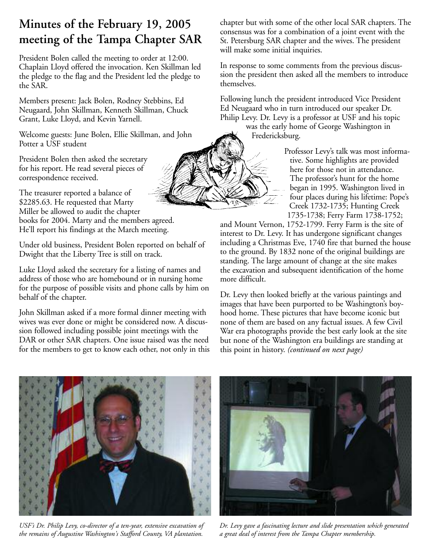# **Minutes of the February 19, 2005 meeting of the Tampa Chapter SAR**

President Bolen called the meeting to order at 12:00. Chaplain Lloyd offered the invocation. Ken Skillman led the pledge to the flag and the President led the pledge to the SAR.

Members present: Jack Bolen, Rodney Stebbins, Ed Neugaard, John Skillman, Kenneth Skillman, Chuck Grant, Luke Lloyd, and Kevin Yarnell.

Welcome guests: June Bolen, Ellie Skillman, and John Potter a USF student

President Bolen then asked the secretary for his report. He read several pieces of correspondence received.

The treasurer reported a balance of \$2285.63. He requested that Marty Miller be allowed to audit the chapter books for 2004. Marty and the members agreed. He'll report his findings at the March meeting.

Under old business, President Bolen reported on behalf of Dwight that the Liberty Tree is still on track.

Luke Lloyd asked the secretary for a listing of names and address of those who are homebound or in nursing home for the purpose of possible visits and phone calls by him on behalf of the chapter.

John Skillman asked if a more formal dinner meeting with wives was ever done or might be considered now. A discussion followed including possible joint meetings with the DAR or other SAR chapters. One issue raised was the need for the members to get to know each other, not only in this chapter but with some of the other local SAR chapters. The consensus was for a combination of a joint event with the St. Petersburg SAR chapter and the wives. The president will make some initial inquiries.

In response to some comments from the previous discussion the president then asked all the members to introduce themselves.

Following lunch the president introduced Vice President Ed Neugaard who in turn introduced our speaker Dr. Philip Levy. Dr. Levy is a professor at USF and his topic

was the early home of George Washington in Fredericksburg.

> Professor Levy's talk was most informative. Some highlights are provided here for those not in attendance. The professor's hunt for the home began in 1995. Washington lived in four places during his lifetime: Pope's Creek 1732-1735; Hunting Creek 1735-1738; Ferry Farm 1738-1752;

and Mount Vernon, 1752-1799. Ferry Farm is the site of interest to Dr. Levy. It has undergone significant changes including a Christmas Eve, 1740 fire that burned the house to the ground. By 1832 none of the original buildings are standing. The large amount of change at the site makes the excavation and subsequent identification of the home more difficult.

Dr. Levy then looked briefly at the various paintings and images that have been purported to be Washington's boyhood home. These pictures that have become iconic but none of them are based on any factual issues. A few Civil War era photographs provide the best early look at the site but none of the Washington era buildings are standing at this point in history. *(continued on next page)*



*USF's Dr. Philip Levy, co-director of a ten-year, extensive excavation of the remains of Augustine Washington's Stafford County, VA plantation.*



*Dr. Levy gave a fascinating lecture and slide presentation which generated a great deal of interest from the Tampa Chapter membership.*

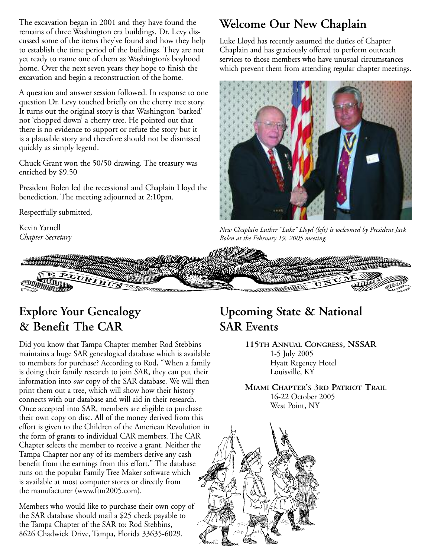The excavation began in 2001 and they have found the remains of three Washington era buildings. Dr. Levy discussed some of the items they've found and how they help to establish the time period of the buildings. They are not yet ready to name one of them as Washington's boyhood home. Over the next seven years they hope to finish the excavation and begin a reconstruction of the home.

A question and answer session followed. In response to one question Dr. Levy touched briefly on the cherry tree story. It turns out the original story is that Washington 'barked' not 'chopped down' a cherry tree. He pointed out that there is no evidence to support or refute the story but it is a plausible story and therefore should not be dismissed quickly as simply legend.

Chuck Grant won the 50/50 drawing. The treasury was enriched by \$9.50

President Bolen led the recessional and Chaplain Lloyd the benediction. The meeting adjourned at 2:10pm.

Respectfully submitted,

Kevin Yarnell *Chapter Secretary*

# **Welcome Our New Chaplain**

Luke Lloyd has recently assumed the duties of Chapter Chaplain and has graciously offered to perform outreach services to those members who have unusual circumstances which prevent them from attending regular chapter meetings.



*New Chaplain Luther "Luke" Lloyd (left) is welcomed by President Jack Bolen at the February 19, 2005 meeting.*

# PLURIBU

# **Explore Your Genealogy & Benefit The CAR**

Did you know that Tampa Chapter member Rod Stebbins maintains a huge SAR genealogical database which is available to members for purchase? According to Rod, "When a family is doing their family research to join SAR, they can put their information into *our* copy of the SAR database. We will then print them out a tree, which will show how their history connects with our database and will aid in their research. Once accepted into SAR, members are eligible to purchase their own copy on disc. All of the money derived from this effort is given to the Children of the American Revolution in the form of grants to individual CAR members. The CAR Chapter selects the member to receive a grant. Neither the Tampa Chapter nor any of its members derive any cash benefit from the earnings from this effort." The database runs on the popular Family Tree Maker software which is available at most computer stores or directly from the manufacturer (www.ftm2005.com).

Members who would like to purchase their own copy of the SAR database should mail a \$25 check payable to the Tampa Chapter of the SAR to: Rod Stebbins, 8626 Chadwick Drive, Tampa, Florida 33635-6029.

# **Upcoming State & National SAR Events**

**115TH ANNUAL CONGRESS, NSSAR** 1-5 July 2005 Hyatt Regency Hotel Louisville, KY

**MIAMI CHAPTER'S 3RD PATRIOT TRAIL** 16-22 October 2005 West Point, NY